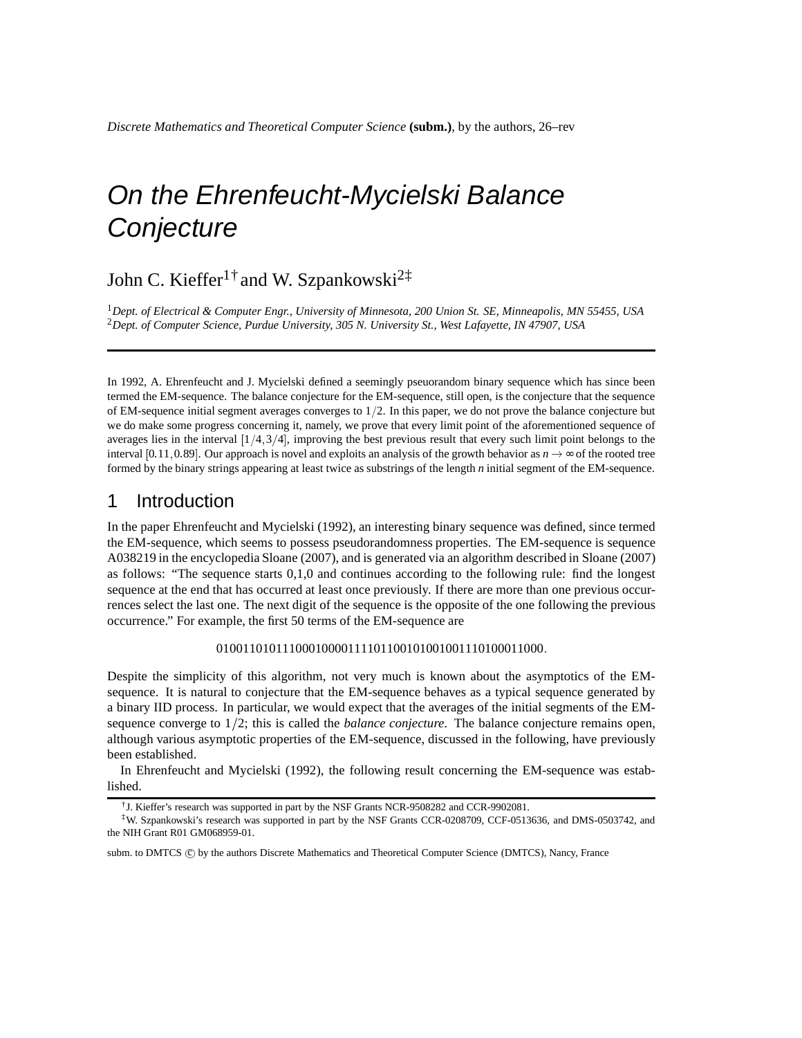# On the Ehrenfeucht-Mycielski Balance **Conjecture**

## John C. Kieffer<sup>1†</sup> and W. Szpankowski<sup>2‡</sup>

<sup>1</sup>*Dept. of Electrical & Computer Engr., University of Minnesota, 200 Union St. SE, Minneapolis, MN 55455, USA* <sup>2</sup>*Dept. of Computer Science, Purdue University, 305 N. University St., West Lafayette, IN 47907, USA*

In 1992, A. Ehrenfeucht and J. Mycielski defined a seemingly pseuorandom binary sequence which has since been termed the EM-sequence. The balance conjecture for the EM-sequence, still open, is the conjecture that the sequence of EM-sequence initial segment averages converges to  $1/2$ . In this paper, we do not prove the balance conjecture but we do make some progress concerning it, namely, we prove that every limit point of the aforementioned sequence of averages lies in the interval  $[1/4, 3/4]$ , improving the best previous result that every such limit point belongs to the interval [0.11, 0.89]. Our approach is novel and exploits an analysis of the growth behavior as  $n \to \infty$  of the rooted tree formed by the binary strings appearing at least twice as substrings of the length *n* initial segment of the EM-sequence.

#### 1 Introduction

In the paper Ehrenfeucht and Mycielski (1992), an interesting binary sequence was defined, since termed the EM-sequence, which seems to possess pseudorandomness properties. The EM-sequence is sequence A038219 in the encyclopedia Sloane (2007), and is generated via an algorithm described in Sloane (2007) as follows: "The sequence starts 0,1,0 and continues according to the following rule: find the longest sequence at the end that has occurred at least once previously. If there are more than one previous occurrences select the last one. The next digit of the sequence is the opposite of the one following the previous occurrence." For example, the first 50 terms of the EM-sequence are

01001101011100010000111101100101001001110100011000:

Despite the simplicity of this algorithm, not very much is known about the asymptotics of the EMsequence. It is natural to conjecture that the EM-sequence behaves as a typical sequence generated by a binary IID process. In particular, we would expect that the averages of the initial segments of the EMsequence converge to  $1/2$ ; this is called the *balance conjecture*. The balance conjecture remains open, although various asymptotic properties of the EM-sequence, discussed in the following, have previously been established.

In Ehrenfeucht and Mycielski (1992), the following result concerning the EM-sequence was established.

<sup>†</sup> J. Kieffer's research was supported in part by the NSF Grants NCR-9508282 and CCR-9902081.

<sup>‡</sup>W. Szpankowski's research was supported in part by the NSF Grants CCR-0208709, CCF-0513636, and DMS-0503742, and the NIH Grant R01 GM068959-01.

subm. to DMTCS © by the authors Discrete Mathematics and Theoretical Computer Science (DMTCS), Nancy, France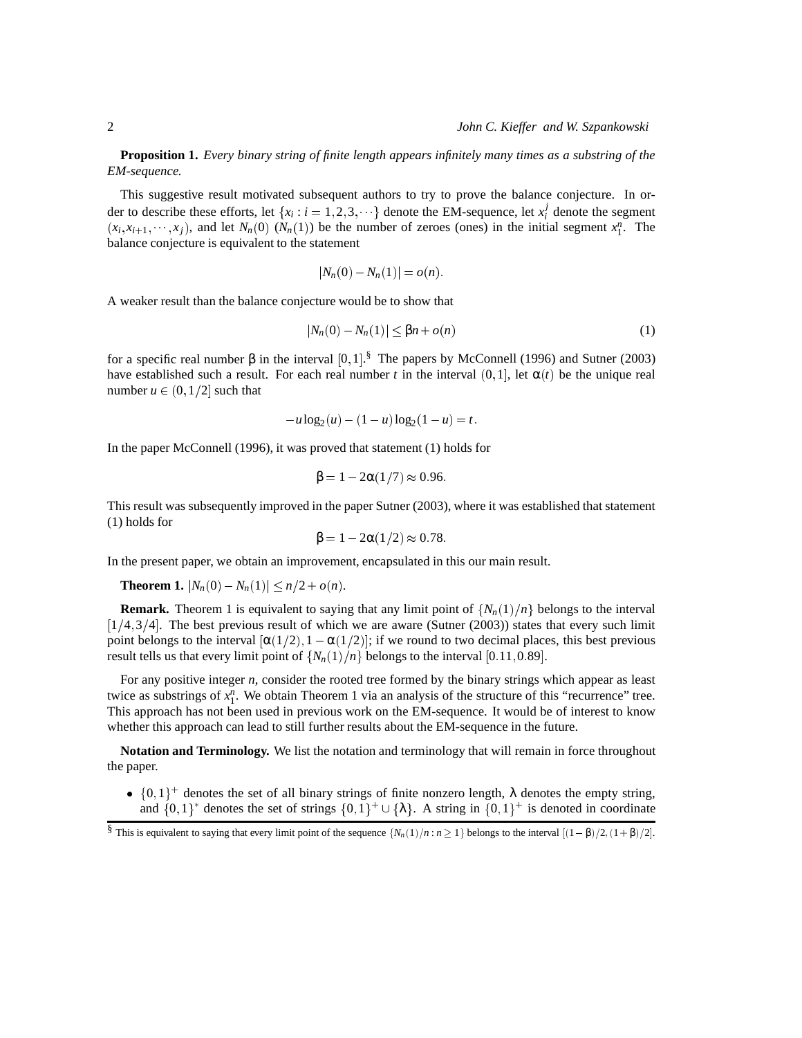**Proposition 1.** *Every binary string of finite length appears infinitely many times as a substring of the EM-sequence.*

This suggestive result motivated subsequent authors to try to prove the balance conjecture. In order to describe these efforts, let  $\{x_i : i = 1, 2, 3, \dots\}$  denote the EM-sequence, let  $x_i^j$  denote the segment  $(x_i, x_{i+1}, \dots, x_j)$ , and let  $N_n(0)$   $(N_n(1))$  be the number of zeroes (ones) in the initial segment  $x_1^n$ . The balance conjecture is equivalent to the statement

$$
|N_n(0) - N_n(1)| = o(n).
$$

A weaker result than the balance conjecture would be to show that

$$
|N_n(0) - N_n(1)| \le \beta n + o(n)
$$
 (1)

for a specific real number β in the interval  $[0, 1]$ .<sup>§</sup> The papers by McConnell (1996) and Sutner (2003) have established such a result. For each real number *t* in the interval  $(0, 1]$ , let  $\alpha(t)$  be the unique real number  $u \in (0, 1/2]$  such that

$$
-u\log_2(u) - (1-u)\log_2(1-u) = t.
$$

In the paper McConnell (1996), it was proved that statement (1) holds for

$$
\beta = 1 - 2\alpha(1/7) \approx 0.96
$$

This result was subsequently improved in the paper Sutner (2003), where it was established that statement (1) holds for

$$
\beta = 1 - 2\alpha(1/2) \approx 0.78.
$$

In the present paper, we obtain an improvement, encapsulated in this our main result.

**Theorem 1.**  $|N_n(0) - N_n(1)| \le n/2 + o(n)$ .

**Remark.** Theorem 1 is equivalent to saying that any limit point of  $\{N_n(1)/n\}$  belongs to the interval  $[1/4, 3/4]$ . The best previous result of which we are aware (Sutner (2003)) states that every such limit point belongs to the interval  $[\alpha(1/2), 1 - \alpha(1/2)]$ ; if we round to two decimal places, this best previous result tells us that every limit point of  $\{N_n(1)/n\}$  belongs to the interval [0.11, 0.89].

For any positive integer *n*, consider the rooted tree formed by the binary strings which appear as least twice as substrings of  $x_1^n$ . We obtain Theorem 1 via an analysis of the structure of this "recurrence" tree. This approach has not been used in previous work on the EM-sequence. It would be of interest to know whether this approach can lead to still further results about the EM-sequence in the future.

**Notation and Terminology.** We list the notation and terminology that will remain in force throughout the paper.

•  $\{0,1\}^+$  denotes the set of all binary strings of finite nonzero length,  $\lambda$  denotes the empty string, and  $\{0,1\}^*$  denotes the set of strings  $\{0,1\}^+\cup\{\lambda\}$ . A string in  $\{0,1\}^+$  is denoted in coordinate

<sup>§</sup> This is equivalent to saying that every limit point of the sequence  $\{N_n(1)/n : n \ge 1\}$  belongs to the interval  $[(1 - \beta)/2, (1 + \beta)/2]$ .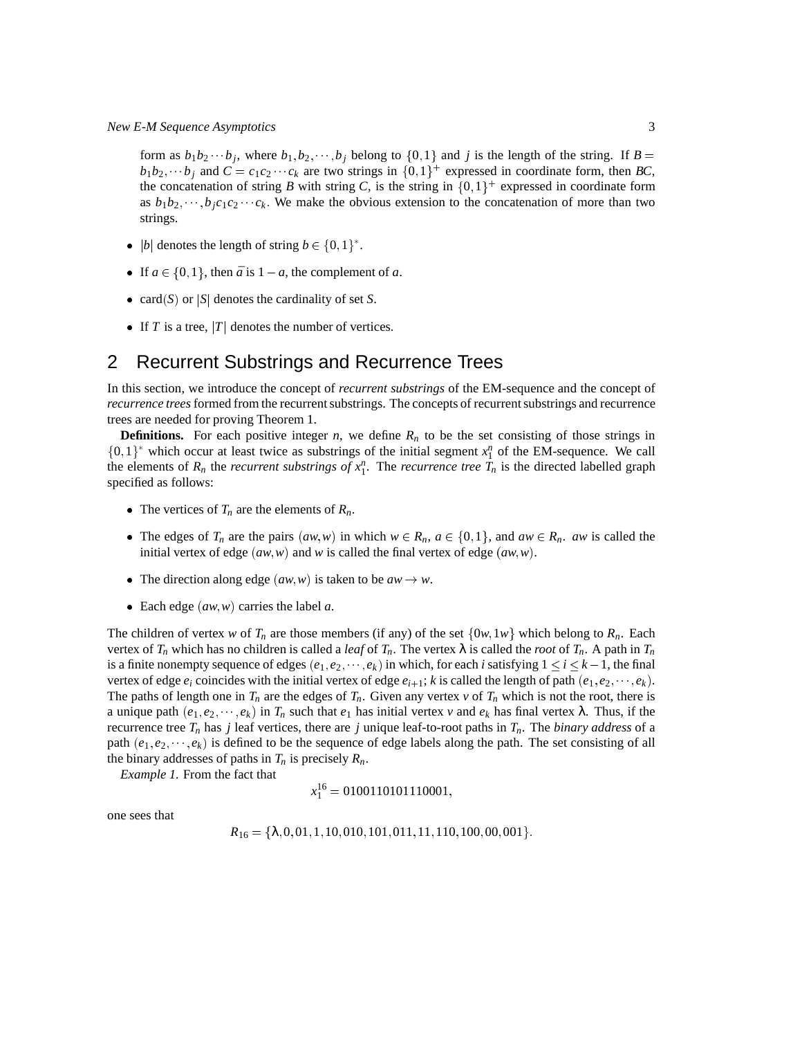*New E-M Sequence Asymptotics* 3

form as  $b_1b_2 \cdots b_j$ , where  $b_1, b_2, \cdots, b_j$  belong to  $\{0, 1\}$  and *j* is the length of the string. If  $B =$  $b_1b_2, \cdots b_j$  and  $C = c_1c_2 \cdots c_k$  are two strings in  $\{0,1\}^+$  expressed in coordinate form, then *BC*, the concatenation of string *B* with string *C*, is the string in  $\{0,1\}^+$  expressed in coordinate form as  $b_1b_2, \dots, b_ic_1c_2 \dots c_k$ . We make the obvious extension to the concatenation of more than two strings.

- |*b*| denotes the length of string  $b \in \{0, 1\}^*$ .
- If  $a \in \{0, 1\}$ , then  $\bar{a}$  is  $1 a$ , the complement of  $a$ .
- card(*S*) or  $|S|$  denotes the cardinality of set *S*.
- If *T* is a tree,  $|T|$  denotes the number of vertices.

#### 2 Recurrent Substrings and Recurrence Trees

In this section, we introduce the concept of *recurrent substrings* of the EM-sequence and the concept of *recurrence trees*formed from the recurrent substrings. The concepts of recurrent substrings and recurrence trees are needed for proving Theorem 1.

**Definitions.** For each positive integer *n*, we define  $R_n$  to be the set consisting of those strings in  $\{0, 1\}^*$  which occur at least twice as substrings of the initial segment  $x_1^n$  of the EM-sequence. We call the elements of  $R_n$  the *recurrent substrings of*  $x_1^n$ . The *recurrence tree*  $\hat{T}_n$  is the directed labelled graph specified as follows:

- The vertices of  $T_n$  are the elements of  $R_n$ .
- The edges of  $T_n$  are the pairs  $(aw, w)$  in which  $w \in R_n$ ,  $a \in \{0, 1\}$ , and  $aw \in R_n$ . *aw* is called the initial vertex of edge  $(aw, w)$  and *w* is called the final vertex of edge  $(aw, w)$ .
- The direction along edge  $(aw, w)$  is taken to be  $aw \rightarrow w$ .
- Each edge  $(aw, w)$  carries the label  $a$ .

The children of vertex *w* of  $T_n$  are those members (if any) of the set  $\{0w, 1w\}$  which belong to  $R_n$ . Each vertex of  $T_n$  which has no children is called a *leaf* of  $T_n$ . The vertex  $\lambda$  is called the *root* of  $T_n$ . A path in  $T_n$ is a finite nonempty sequence of edges  $(e_1, e_2, \dots, e_k)$  in which, for each *i* satisfying  $1 \le i \le k-1$ , the final vertex of edge  $e_i$  coincides with the initial vertex of edge  $e_{i+1}$ ; *k* is called the length of path  $(e_1, e_2, \dots, e_k)$ . The paths of length one in  $T_n$  are the edges of  $T_n$ . Given any vertex  $\nu$  of  $T_n$  which is not the root, there is a unique path  $(e_1, e_2, \dots, e_k)$  in  $T_n$  such that  $e_1$  has initial vertex  $\nu$  and  $e_k$  has final vertex  $\lambda$ . Thus, if the recurrence tree  $T_n$  has *j* leaf vertices, there are *j* unique leaf-to-root paths in  $T_n$ . The *binary address* of a path  $(e_1, e_2, \dots, e_k)$  is defined to be the sequence of edge labels along the path. The set consisting of all the binary addresses of paths in  $T_n$  is precisely  $R_n$ .

*Example 1.* From the fact that

$$
x_1^{16} = 0100110101110001,
$$

one sees that

*R*<sup>16</sup> <sup>=</sup> <sup>f</sup>λ; 0; 01; 1; 10; 010; 101; 011; 11; 110; 100; 00; 001g: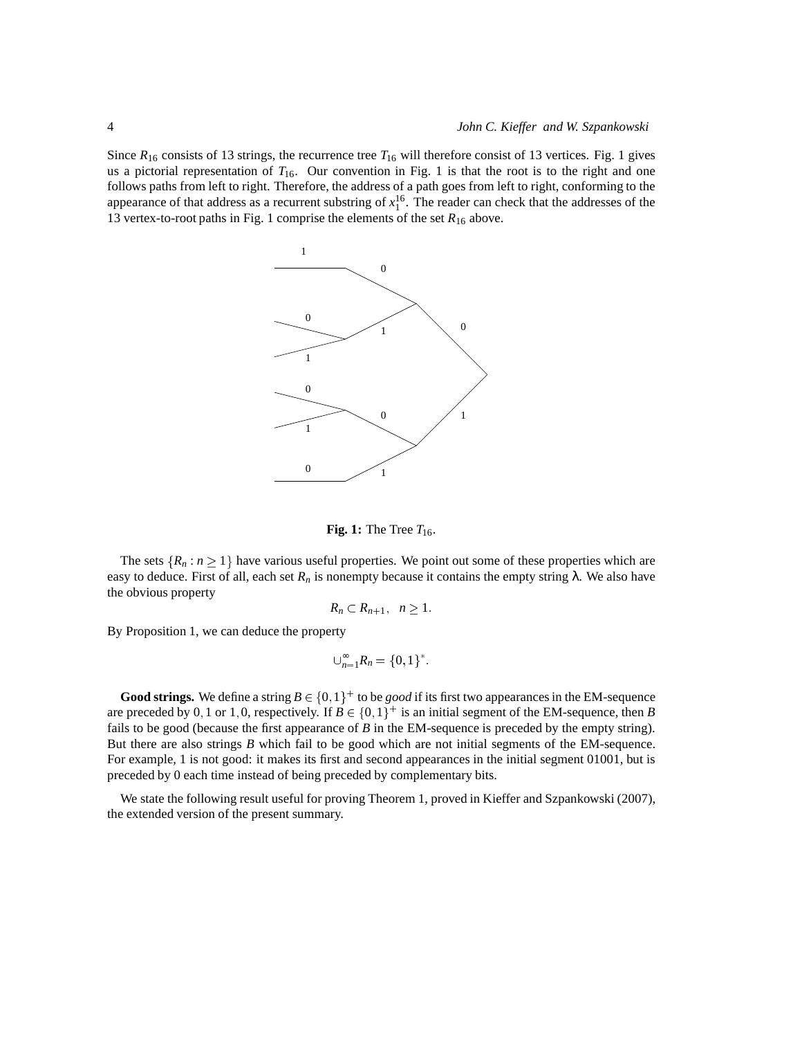Since  $R_{16}$  consists of 13 strings, the recurrence tree  $T_{16}$  will therefore consist of 13 vertices. Fig. 1 gives us a pictorial representation of *T*16. Our convention in Fig. 1 is that the root is to the right and one follows paths from left to right. Therefore, the address of a path goes from left to right, conforming to the appearance of that address as a recurrent substring of  $x_1^{16}$ . The reader can check that the addresses of the 13 vertex-to-root paths in Fig. 1 comprise the elements of the set  $R_{16}$  above.



**Fig. 1:** The Tree  $T_{16}$ .

The sets  $\{R_n : n \geq 1\}$  have various useful properties. We point out some of these properties which are easy to deduce. First of all, each set  $R_n$  is nonempty because it contains the empty string  $\lambda$ . We also have the obvious property

$$
R_n\subset R_{n+1},\ \ n\geq 1.
$$

By Proposition 1, we can deduce the property

$$
\bigcup_{n=1}^{\infty} R_n = \{0,1\}^*.
$$

**Good strings.** We define a string  $B \in \{0, 1\}^+$  to be *good* if its first two appearances in the EM-sequence are preceded by 0,1 or 1,0, respectively. If  $B \in \{0,1\}^+$  is an initial segment of the EM-sequence, then *B* fails to be good (because the first appearance of *B* in the EM-sequence is preceded by the empty string). But there are also strings *B* which fail to be good which are not initial segments of the EM-sequence. For example, 1 is not good: it makes its first and second appearances in the initial segment 01001, but is preceded by 0 each time instead of being preceded by complementary bits.

We state the following result useful for proving Theorem 1, proved in Kieffer and Szpankowski (2007), the extended version of the present summary.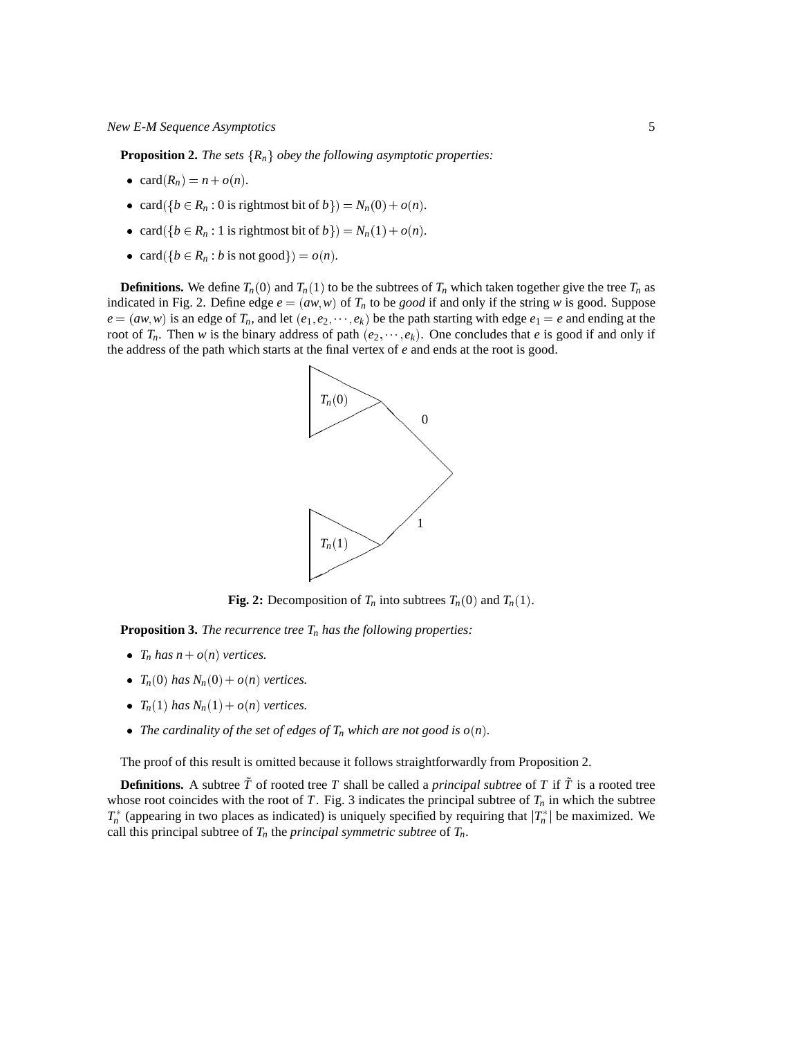**Proposition 2.** *The sets*  ${R_n}$  *obey the following asymptotic properties:* 

- $card(R_n) = n + o(n)$ .
- card( $\{b \in R_n : 0 \text{ is rightmost bit of } b\}$ ) =  $N_n(0) + o(n)$ .
- card( $\{b \in R_n : 1 \text{ is rightmost bit of } b\}$ ) =  $N_n(1) + o(n)$ .
- card( $\{b \in R_n : b \text{ is not good}\}$ ) =  $o(n)$ *.*

**Definitions.** We define  $T_n(0)$  and  $T_n(1)$  to be the subtrees of  $T_n$  which taken together give the tree  $T_n$  as indicated in Fig. 2. Define edge  $e = (aw, w)$  of  $T<sub>n</sub>$  to be *good* if and only if the string *w* is good. Suppose  $e = (aw, w)$  is an edge of  $T_n$ , and let  $(e_1, e_2, \dots, e_k)$  be the path starting with edge  $e_1 = e$  and ending at the root of  $T_n$ . Then *w* is the binary address of path  $(e_2, \dots, e_k)$ . One concludes that *e* is good if and only if the address of the path which starts at the final vertex of *e* and ends at the root is good.



**Fig. 2:** Decomposition of  $T_n$  into subtrees  $T_n(0)$  and  $T_n(1)$ .

**Proposition 3.** *The recurrence tree T<sup>n</sup> has the following properties:*

- $T_n$  *has*  $n + o(n)$  *vertices.*
- $T_n(0)$  *has*  $N_n(0) + o(n)$  *vertices.*
- $T_n(1)$  *has*  $N_n(1) + o(n)$  *vertices.*
- The cardinality of the set of edges of  $T_n$  which are not good is  $o(n)$ *.*

The proof of this result is omitted because it follows straightforwardly from Proposition 2.

**Definitions.** A subtree  $\tilde{T}$  of rooted tree T shall be called a *principal subtree* of T if  $\tilde{T}$  is a rooted tree whose root coincides with the root of *T*. Fig. 3 indicates the principal subtree of  $T<sub>n</sub>$  in which the subtree  $T_n^*$  (appearing in two places as indicated) is uniquely specified by requiring that  $|T_n^*|$  be maximized. We call this principal subtree of  $T_n$  the *principal symmetric subtree* of  $T_n$ .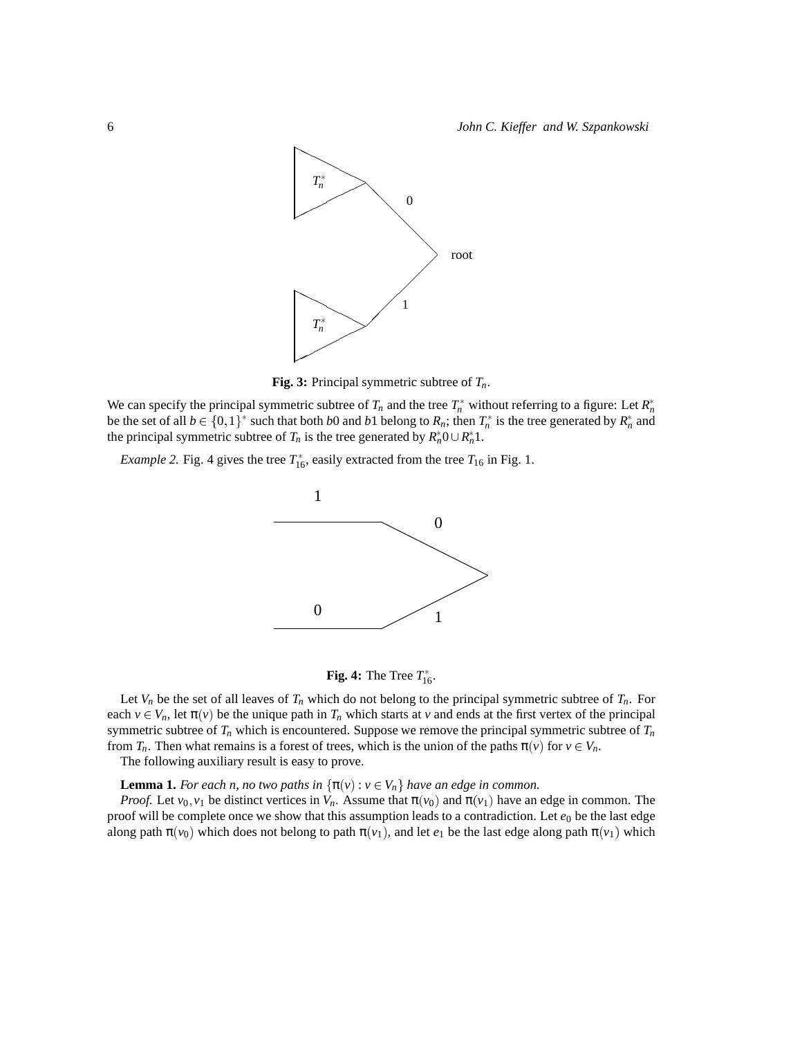

**Fig. 3:** Principal symmetric subtree of *Tn*.

We can specify the principal symmetric subtree of  $T_n$  and the tree  $T_n^*$  without referring to a figure: Let  $R_n^*$ be the set of all  $b \in \{0,1\}^*$  such that both *b*0 and *b*1 belong to  $R_n$ ; then  $T_n^*$  is the tree generated by  $R_n^*$  and the principal symmetric subtree of  $T_n$  is the tree generated by  $R_n^*0 \cup R_n^*1$ .

*Example 2.* Fig. 4 gives the tree  $T_{16}^*$ , easily extracted from the tree  $T_{16}$  in Fig. 1.





Let  $V_n$  be the set of all leaves of  $T_n$  which do not belong to the principal symmetric subtree of  $T_n$ . For each  $v \in V_n$ , let  $\pi(v)$  be the unique path in  $T_n$  which starts at v and ends at the first vertex of the principal symmetric subtree of  $T<sub>n</sub>$  which is encountered. Suppose we remove the principal symmetric subtree of  $T<sub>n</sub>$ from  $T_n$ . Then what remains is a forest of trees, which is the union of the paths  $\pi(v)$  for  $v \in V_n$ .

The following auxiliary result is easy to prove.

**Lemma 1.** *For each n, no two paths in*  $\{\pi(v): v \in V_n\}$  *have an edge in common.* 

*Proof.* Let  $v_0, v_1$  be distinct vertices in  $V_n$ . Assume that  $\pi(v_0)$  and  $\pi(v_1)$  have an edge in common. The proof will be complete once we show that this assumption leads to a contradiction. Let  $e_0$  be the last edge along path  $\pi(v_0)$  which does not belong to path  $\pi(v_1)$ , and let  $e_1$  be the last edge along path  $\pi(v_1)$  which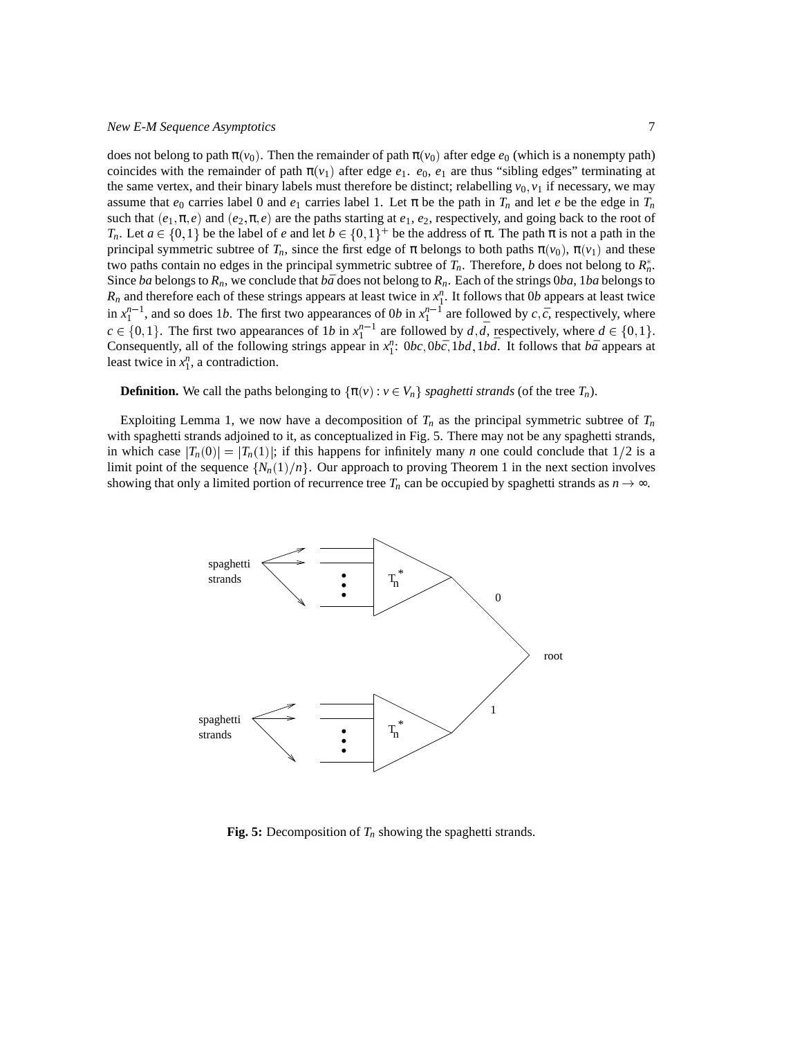does not belong to path  $\pi(v_0)$ . Then the remainder of path  $\pi(v_0)$  after edge  $e_0$  (which is a nonempty path) coincides with the remainder of path  $\pi(v_1)$  after edge  $e_1$ .  $e_0$ ,  $e_1$  are thus "sibling edges" terminating at the same vertex, and their binary labels must therefore be distinct; relabelling  $v_0$ ,  $v_1$  if necessary, we may assume that  $e_0$  carries label 0 and  $e_1$  carries label 1. Let  $\pi$  be the path in  $T_n$  and let *e* be the edge in  $T_n$ such that  $(e_1, \pi, e)$  and  $(e_2, \pi, e)$  are the paths starting at  $e_1, e_2$ , respectively, and going back to the root of *T<sub>n</sub>*. Let  $a \in \{0,1\}$  be the label of *e* and let  $b \in \{0,1\}^+$  be the address of  $\pi$ . The path  $\pi$  is not a path in the principal symmetric subtree of  $T_n$ , since the first edge of  $\pi$  belongs to both paths  $\pi(v_0)$ ,  $\pi(v_1)$  and these two paths contain no edges in the principal symmetric subtree of  $T_n$ . Therefore, *b* does not belong to  $R_n^*$ . Since *ba* belongs to  $R_n$ , we conclude that  $b\bar{a}$  does not belong to  $R_n$ . Each of the strings 0*ba*, 1*ba* belongs to  $R_n$  and therefore each of these strings appears at least twice in  $x_1^n$ . It follows that 0*b* appears at least twice in  $x_1^{n-1}$ , and so does 1*b*. The first two appearances of 0*b* in  $x_1^{n-1}$  are followed by *c*,  $\bar{c}$ , respectively, where  $c \in \{0, 1\}$ . The first two appearances of 1*b* in  $x_1^{n-1}$  are followed by  $d, \overline{d}$ , respectively, where  $d \in \{0, 1\}$ . Consequently, all of the following strings appear in  $x_1^n$ :  $0bc, 0b\bar{c}$ ,  $1bd, 1b\bar{d}$ . It follows that  $b\bar{a}$  appears at least twice in  $x_1^n$ , a contradiction.

#### **Definition.** We call the paths belonging to  $\{\pi(v): v \in V_n\}$  *spaghetti strands* (of the tree  $T_n$ ).

Exploiting Lemma 1, we now have a decomposition of  $T<sub>n</sub>$  as the principal symmetric subtree of  $T<sub>n</sub>$ with spaghetti strands adjoined to it, as conceptualized in Fig. 5. There may not be any spaghetti strands, in which case  $|T_n(0)| = |T_n(1)|$ ; if this happens for infinitely many *n* one could conclude that  $1/2$  is a limit point of the sequence  $\{N_n(1)/n\}$ . Our approach to proving Theorem 1 in the next section involves showing that only a limited portion of recurrence tree  $T_n$  can be occupied by spaghetti strands as  $n \to \infty$ .



**Fig. 5:** Decomposition of *T<sup>n</sup>* showing the spaghetti strands.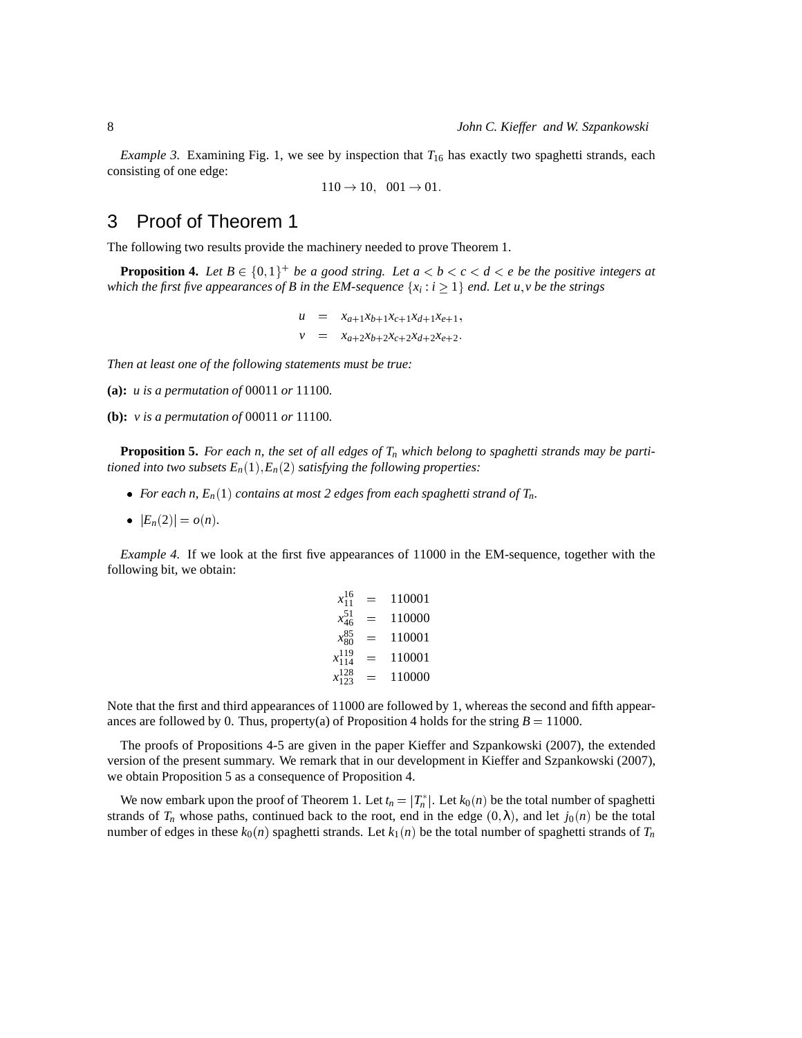*Example 3.* Examining Fig. 1, we see by inspection that  $T_{16}$  has exactly two spaghetti strands, each consisting of one edge:

 $110 \to 10$ ,  $001 \to 01$ .

### 3 Proof of Theorem 1

The following two results provide the machinery needed to prove Theorem 1.

**Proposition 4.** Let  $B \in \{0,1\}^+$  be a good string. Let  $a < b < c < d < e$  be the positive integers at *which the first five appearances of B in the EM-sequence*  $\{x_i : i \geq 1\}$  *end. Let u,v be the strings* 

$$
u = x_{a+1}x_{b+1}x_{c+1}x_{d+1}x_{e+1},
$$
  

$$
v = x_{a+2}x_{b+2}x_{c+2}x_{d+2}x_{e+2}.
$$

*Then at least one of the following statements must be true:*

- **(a):** *u is a permutation of* 00011 *or* 11100*.*
- **(b):** *v is a permutation of* 00011 *or* 11100*.*

**Proposition 5.** *For each n, the set of all edges of T<sup>n</sup> which belong to spaghetti strands may be partitioned into two subsets*  $E_n(1), E_n(2)$  *satisfying the following properties:* 

- For each n,  $E_n(1)$  *contains at most 2 edges from each spaghetti strand of*  $T_n$ *.*
- $|E_n(2)| = o(n)$ .

*Example 4.* If we look at the first five appearances of 11000 in the EM-sequence, together with the following bit, we obtain:

$$
x_{11}^{16} = 110001
$$
  
\n
$$
x_{46}^{51} = 110000
$$
  
\n
$$
x_{80}^{85} = 110001
$$
  
\n
$$
x_{114}^{119} = 110001
$$
  
\n
$$
x_{128}^{128} = 110000
$$

Note that the first and third appearances of 11000 are followed by 1, whereas the second and fifth appearances are followed by 0. Thus, property(a) of Proposition 4 holds for the string  $B = 11000$ .

The proofs of Propositions 4-5 are given in the paper Kieffer and Szpankowski (2007), the extended version of the present summary. We remark that in our development in Kieffer and Szpankowski (2007), we obtain Proposition 5 as a consequence of Proposition 4.

We now embark upon the proof of Theorem 1. Let  $t_n = |T_n^*|$ . Let  $k_0(n)$  be the total number of spaghetti strands of  $T_n$  whose paths, continued back to the root, end in the edge  $(0, \lambda)$ , and let  $j_0(n)$  be the total number of edges in these  $k_0(n)$  spaghetti strands. Let  $k_1(n)$  be the total number of spaghetti strands of  $T_n$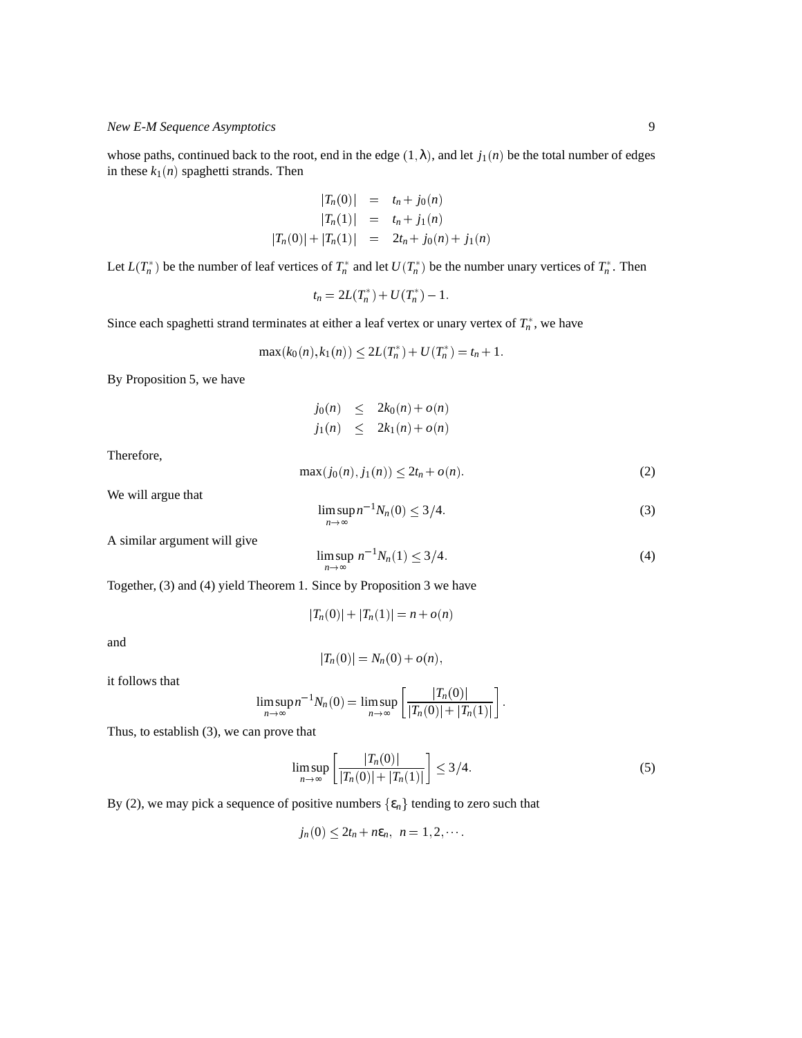whose paths, continued back to the root, end in the edge  $(1, \lambda)$ , and let  $j_1(n)$  be the total number of edges in these  $k_1(n)$  spaghetti strands. Then

$$
|T_n(0)| = t_n + j_0(n)
$$
  
\n
$$
|T_n(1)| = t_n + j_1(n)
$$
  
\n
$$
|T_n(0)| + |T_n(1)| = 2t_n + j_0(n) + j_1(n)
$$

Let  $L(T_n^*)$  be the number of leaf vertices of  $T_n^*$  and let  $U(T_n^*)$  be the number unary vertices of  $T_n^*$ . Then

$$
t_n=2L(T_n^*)+U(T_n^*)-1.
$$

Since each spaghetti strand terminates at either a leaf vertex or unary vertex of  $T_n^*$ , we have

$$
\max(k_0(n), k_1(n)) \le 2L(T_n^*) + U(T_n^*) = t_n + 1.
$$

By Proposition 5, we have

$$
j_0(n) \leq 2k_0(n) + o(n)
$$
  

$$
j_1(n) \leq 2k_1(n) + o(n)
$$

Therefore,

$$
\max(j_0(n), j_1(n)) \le 2t_n + o(n). \tag{2}
$$

We will argue that

$$
\limsup_{n \to \infty} n^{-1} N_n(0) \le 3/4. \tag{3}
$$

A similar argument will give

$$
\limsup_{n \to \infty} n^{-1} N_n(1) \le 3/4. \tag{4}
$$

Together, (3) and (4) yield Theorem 1. Since by Proposition 3 we have

$$
|T_n(0)| + |T_n(1)| = n + o(n)
$$

and

$$
|T_n(0)| = N_n(0) + o(n),
$$

it follows that

$$
\limsup_{n\to\infty}n^{-1}N_n(0)=\limsup_{n\to\infty}\left[\frac{|T_n(0)|}{|T_n(0)|+|T_n(1)|}\right].
$$

Thus, to establish (3), we can prove that

$$
\limsup_{n \to \infty} \left[ \frac{|T_n(0)|}{|T_n(0)| + |T_n(1)|} \right] \le 3/4. \tag{5}
$$

By (2), we may pick a sequence of positive numbers  $\{\varepsilon_n\}$  tending to zero such that

$$
j_n(0) \leq 2t_n + n\epsilon_n, \ \ n=1,2,\cdots.
$$